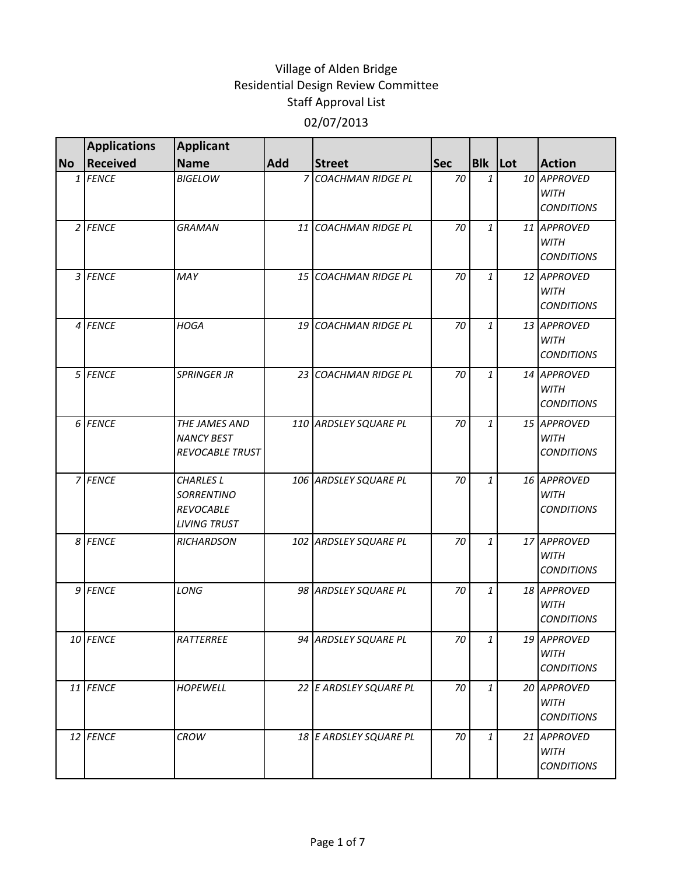|           | <b>Applications</b> | <b>Applicant</b>                                                                 |     |                          |            |              |                                                 |
|-----------|---------------------|----------------------------------------------------------------------------------|-----|--------------------------|------------|--------------|-------------------------------------------------|
| <b>No</b> | <b>Received</b>     | <b>Name</b>                                                                      | Add | <b>Street</b>            | <b>Sec</b> | Blk Lot      | <b>Action</b>                                   |
|           | 1 FENCE             | <b>BIGELOW</b>                                                                   |     | 7 COACHMAN RIDGE PL      | 70         | 1            | 10 APPROVED<br>WITH<br><b>CONDITIONS</b>        |
|           | $2$ FENCE           | <b>GRAMAN</b>                                                                    |     | 11 COACHMAN RIDGE PL     | 70         | 1            | 11 APPROVED<br><b>WITH</b><br><b>CONDITIONS</b> |
|           | 3 FENCE             | MAY                                                                              |     | 15 COACHMAN RIDGE PL     | 70         | $\mathbf{1}$ | 12 APPROVED<br><b>WITH</b><br><b>CONDITIONS</b> |
|           | 4 FENCE             | <b>HOGA</b>                                                                      | 19  | <b>COACHMAN RIDGE PL</b> | 70         | $\mathbf{1}$ | 13 APPROVED<br><b>WITH</b><br><b>CONDITIONS</b> |
|           | 5 FENCE             | <b>SPRINGER JR</b>                                                               | 23  | <b>COACHMAN RIDGE PL</b> | 70         | 1            | 14 APPROVED<br><b>WITH</b><br><b>CONDITIONS</b> |
|           | 6 FENCE             | THE JAMES AND<br><b>NANCY BEST</b><br><b>REVOCABLE TRUST</b>                     |     | 110 ARDSLEY SQUARE PL    | 70         | 1            | 15 APPROVED<br><b>WITH</b><br><b>CONDITIONS</b> |
|           | 7 FENCE             | <b>CHARLES L</b><br><b>SORRENTINO</b><br><b>REVOCABLE</b><br><b>LIVING TRUST</b> |     | 106 ARDSLEY SQUARE PL    | 70         | 1            | 16 APPROVED<br><b>WITH</b><br><b>CONDITIONS</b> |
|           | 8 FENCE             | <b>RICHARDSON</b>                                                                |     | 102 ARDSLEY SQUARE PL    | 70         | $\mathbf{1}$ | 17 APPROVED<br><b>WITH</b><br><b>CONDITIONS</b> |
|           | 9 FENCE             | LONG                                                                             |     | 98 ARDSLEY SQUARE PL     | 70         | 1            | 18 APPROVED<br><b>WITH</b><br><b>CONDITIONS</b> |
|           | 10 FENCE            | RATTERREE                                                                        |     | 94 ARDSLEY SQUARE PL     | 70         | 1            | 19 APPROVED<br><b>WITH</b><br><b>CONDITIONS</b> |
|           | 11 FENCE            | <b>HOPEWELL</b>                                                                  |     | 22 E ARDSLEY SQUARE PL   | 70         | $\mathbf{1}$ | 20 APPROVED<br>WITH<br><b>CONDITIONS</b>        |
|           | 12 FENCE            | <b>CROW</b>                                                                      |     | 18 E ARDSLEY SQUARE PL   | 70         | $\mathbf{1}$ | 21 APPROVED<br><b>WITH</b><br><b>CONDITIONS</b> |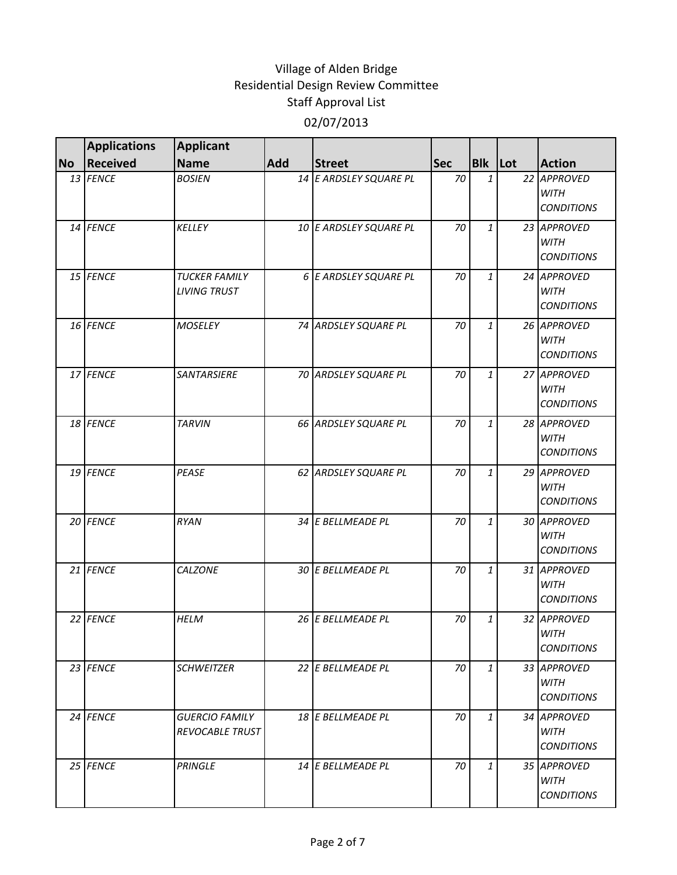|           | <b>Applications</b> | <b>Applicant</b>                            |            |                        |            |                |                                                 |
|-----------|---------------------|---------------------------------------------|------------|------------------------|------------|----------------|-------------------------------------------------|
| <b>No</b> | <b>Received</b>     | <b>Name</b>                                 | <b>Add</b> | <b>Street</b>          | <b>Sec</b> | <b>Blk</b> Lot | <b>Action</b>                                   |
|           | 13 FENCE            | <b>BOSIEN</b>                               |            | 14 E ARDSLEY SQUARE PL | 70         | $\mathbf{1}$   | 22 APPROVED<br><b>WITH</b><br><b>CONDITIONS</b> |
|           | 14 FENCE            | <b>KELLEY</b>                               |            | 10 E ARDSLEY SQUARE PL | 70         | 1              | 23 APPROVED<br><b>WITH</b><br><b>CONDITIONS</b> |
|           | 15 FENCE            | <b>TUCKER FAMILY</b><br><b>LIVING TRUST</b> |            | 6 E ARDSLEY SQUARE PL  | 70         | 1              | 24 APPROVED<br><b>WITH</b><br><b>CONDITIONS</b> |
|           | 16 FENCE            | <b>MOSELEY</b>                              |            | 74 ARDSLEY SQUARE PL   | 70         | 1              | 26 APPROVED<br><b>WITH</b><br><b>CONDITIONS</b> |
|           | 17 FENCE            | SANTARSIERE                                 |            | 70 ARDSLEY SQUARE PL   | 70         | 1              | 27 APPROVED<br><b>WITH</b><br><b>CONDITIONS</b> |
|           | 18 FENCE            | <b>TARVIN</b>                               |            | 66 ARDSLEY SQUARE PL   | 70         | $\mathbf{1}$   | 28 APPROVED<br><b>WITH</b><br><b>CONDITIONS</b> |
|           | 19 FENCE            | PEASE                                       |            | 62 ARDSLEY SQUARE PL   | 70         | 1              | 29 APPROVED<br><b>WITH</b><br><b>CONDITIONS</b> |
|           | 20 FENCE            | <b>RYAN</b>                                 |            | 34 E BELLMEADE PL      | 70         | 1              | 30 APPROVED<br><b>WITH</b><br><b>CONDITIONS</b> |
|           | 21 FENCE            | <b>CALZONE</b>                              |            | 30 E BELLMEADE PL      | 70         | $\mathbf{1}$   | 31 APPROVED<br><b>WITH</b><br><b>CONDITIONS</b> |
|           | 22 FENCE            | <b>HELM</b>                                 |            | 26 E BELLMEADE PL      | 70         | 1              | 32 APPROVED<br><b>WITH</b><br><b>CONDITIONS</b> |
|           | 23 FENCE            | <b>SCHWEITZER</b>                           |            | 22 E BELLMEADE PL      | 70         | 1              | 33 APPROVED<br><b>WITH</b><br><b>CONDITIONS</b> |
|           | 24 FENCE            | <b>GUERCIO FAMILY</b><br>REVOCABLE TRUST    |            | 18 E BELLMEADE PL      | 70         | $\mathbf{1}$   | 34 APPROVED<br><b>WITH</b><br><b>CONDITIONS</b> |
|           | 25 FENCE            | <b>PRINGLE</b>                              |            | 14 E BELLMEADE PL      | 70         | $\mathbf{1}$   | 35 APPROVED<br><b>WITH</b><br><b>CONDITIONS</b> |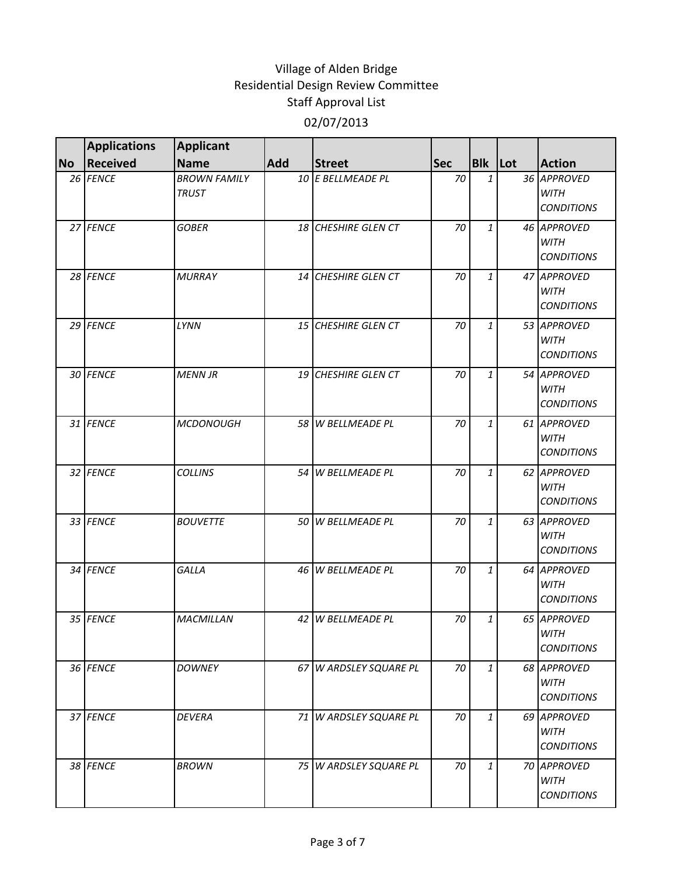|           | <b>Applications</b> | <b>Applicant</b>                    |     |                         |            |              |                                                 |
|-----------|---------------------|-------------------------------------|-----|-------------------------|------------|--------------|-------------------------------------------------|
| <b>No</b> | <b>Received</b>     | <b>Name</b>                         | Add | <b>Street</b>           | <b>Sec</b> | Blk Lot      | <b>Action</b>                                   |
|           | 26 FENCE            | <b>BROWN FAMILY</b><br><b>TRUST</b> |     | 10 E BELLMEADE PL       | 70         | 1            | 36 APPROVED<br><b>WITH</b><br><b>CONDITIONS</b> |
|           | 27 FENCE            | <b>GOBER</b>                        |     | 18 CHESHIRE GLEN CT     | 70         | 1            | 46 APPROVED<br><b>WITH</b><br><b>CONDITIONS</b> |
|           | 28 FENCE            | <b>MURRAY</b>                       |     | 14 CHESHIRE GLEN CT     | 70         | 1            | 47 APPROVED<br><b>WITH</b><br><b>CONDITIONS</b> |
|           | 29 FENCE            | LYNN                                |     | 15 CHESHIRE GLEN CT     | 70         | 1            | 53 APPROVED<br><b>WITH</b><br><b>CONDITIONS</b> |
|           | 30 FENCE            | <b>MENN JR</b>                      | 19  | <b>CHESHIRE GLEN CT</b> | 70         | 1            | 54 APPROVED<br><b>WITH</b><br><b>CONDITIONS</b> |
|           | 31 FENCE            | <b>MCDONOUGH</b>                    |     | 58 W BELLMEADE PL       | 70         | $\mathbf{1}$ | 61 APPROVED<br><b>WITH</b><br><b>CONDITIONS</b> |
|           | 32 FENCE            | <b>COLLINS</b>                      |     | 54 W BELLMEADE PL       | 70         | 1            | 62 APPROVED<br><b>WITH</b><br><b>CONDITIONS</b> |
|           | 33 FENCE            | <b>BOUVETTE</b>                     |     | 50 W BELLMEADE PL       | 70         | 1            | 63 APPROVED<br><b>WITH</b><br><b>CONDITIONS</b> |
|           | 34 FENCE            | GALLA                               |     | 46 W BELLMEADE PL       | 70         | $\mathbf{1}$ | 64 APPROVED<br><b>WITH</b><br><b>CONDITIONS</b> |
|           | 35 FENCE            | <b>MACMILLAN</b>                    | 42  | <b>W BELLMEADE PL</b>   | 70         | 1            | 65 APPROVED<br><b>WITH</b><br><b>CONDITIONS</b> |
|           | 36 FENCE            | <b>DOWNEY</b>                       |     | 67 W ARDSLEY SQUARE PL  | 70         | $\mathbf{1}$ | 68 APPROVED<br>WITH<br><b>CONDITIONS</b>        |
|           | 37 FENCE            | <b>DEVERA</b>                       |     | 71 W ARDSLEY SQUARE PL  | 70         | 1            | 69 APPROVED<br>WITH<br><b>CONDITIONS</b>        |
|           | 38 FENCE            | <b>BROWN</b>                        |     | 75 W ARDSLEY SQUARE PL  | 70         | $\mathbf{1}$ | 70 APPROVED<br><b>WITH</b><br><b>CONDITIONS</b> |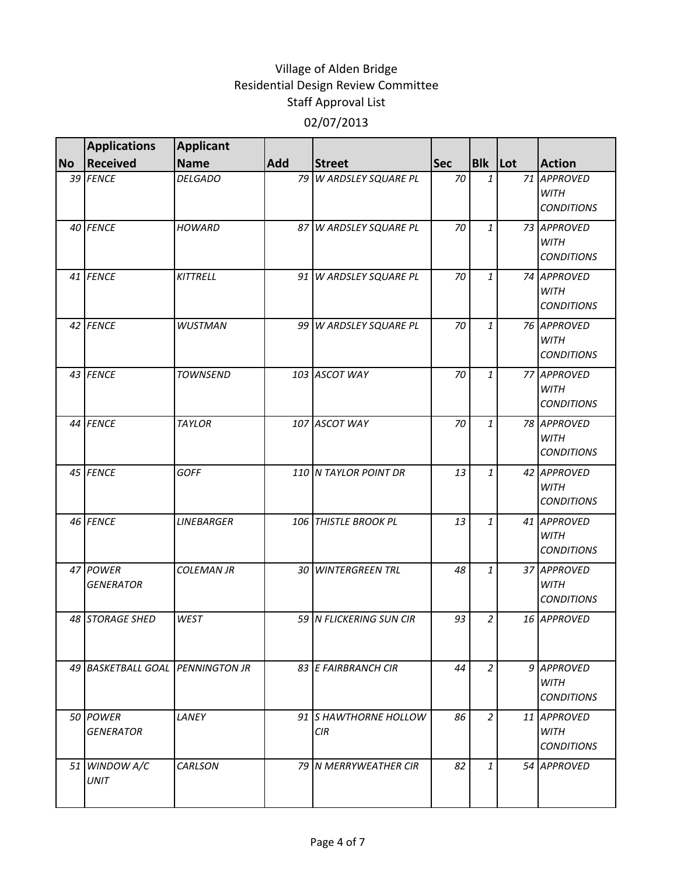|           | <b>Applications</b>              | <b>Applicant</b>  |     |                                     |            |                |                                                 |
|-----------|----------------------------------|-------------------|-----|-------------------------------------|------------|----------------|-------------------------------------------------|
| <b>No</b> | <b>Received</b>                  | <b>Name</b>       | Add | <b>Street</b>                       | <b>Sec</b> | Blk Lot        | <b>Action</b>                                   |
|           | 39 FENCE                         | <b>DELGADO</b>    |     | 79 W ARDSLEY SQUARE PL              | 70         | 1              | 71 APPROVED<br><b>WITH</b><br><b>CONDITIONS</b> |
|           | 40 FENCE                         | <b>HOWARD</b>     |     | 87 W ARDSLEY SQUARE PL              | 70         | 1              | 73 APPROVED<br><b>WITH</b><br><b>CONDITIONS</b> |
|           | 41 FENCE                         | KITTRELL          |     | 91 W ARDSLEY SQUARE PL              | 70         | 1              | 74 APPROVED<br><b>WITH</b><br><b>CONDITIONS</b> |
|           | 42 FENCE                         | <b>WUSTMAN</b>    |     | 99 W ARDSLEY SQUARE PL              | 70         | 1              | 76 APPROVED<br><b>WITH</b><br><b>CONDITIONS</b> |
|           | 43 FENCE                         | <b>TOWNSEND</b>   |     | 103 ASCOT WAY                       | 70         | 1              | 77 APPROVED<br><b>WITH</b><br><b>CONDITIONS</b> |
|           | 44 FENCE                         | <b>TAYLOR</b>     |     | 107 ASCOT WAY                       | 70         | $\mathbf{1}$   | 78 APPROVED<br><b>WITH</b><br><b>CONDITIONS</b> |
|           | 45 FENCE                         | <b>GOFF</b>       |     | 110 N TAYLOR POINT DR               | 13         | $\mathbf{1}$   | 42 APPROVED<br><b>WITH</b><br><b>CONDITIONS</b> |
|           | 46 FENCE                         | <b>LINEBARGER</b> |     | 106 THISTLE BROOK PL                | 13         | 1              | 41 APPROVED<br><b>WITH</b><br><b>CONDITIONS</b> |
|           | 47 POWER<br><b>GENERATOR</b>     | <b>COLEMAN JR</b> |     | 30 WINTERGREEN TRL                  | 48         | 1              | 37 APPROVED<br><b>WITH</b><br><b>CONDITIONS</b> |
|           | 48 STORAGE SHED                  | WEST              |     | 59 N FLICKERING SUN CIR             | 93         | 2              | 16 APPROVED                                     |
|           | 49 BASKETBALL GOAL PENNINGTON JR |                   |     | 83 E FAIRBRANCH CIR                 | 44         | $\overline{2}$ | 9 APPROVED<br><b>WITH</b><br><b>CONDITIONS</b>  |
|           | 50 POWER<br><b>GENERATOR</b>     | LANEY             |     | 91 S HAWTHORNE HOLLOW<br><b>CIR</b> | 86         | $\overline{a}$ | 11 APPROVED<br>WITH<br><b>CONDITIONS</b>        |
|           | 51 WINDOW A/C<br><b>UNIT</b>     | <b>CARLSON</b>    |     | 79 IN MERRYWEATHER CIR              | 82         | $\mathbf{1}$   | 54 APPROVED                                     |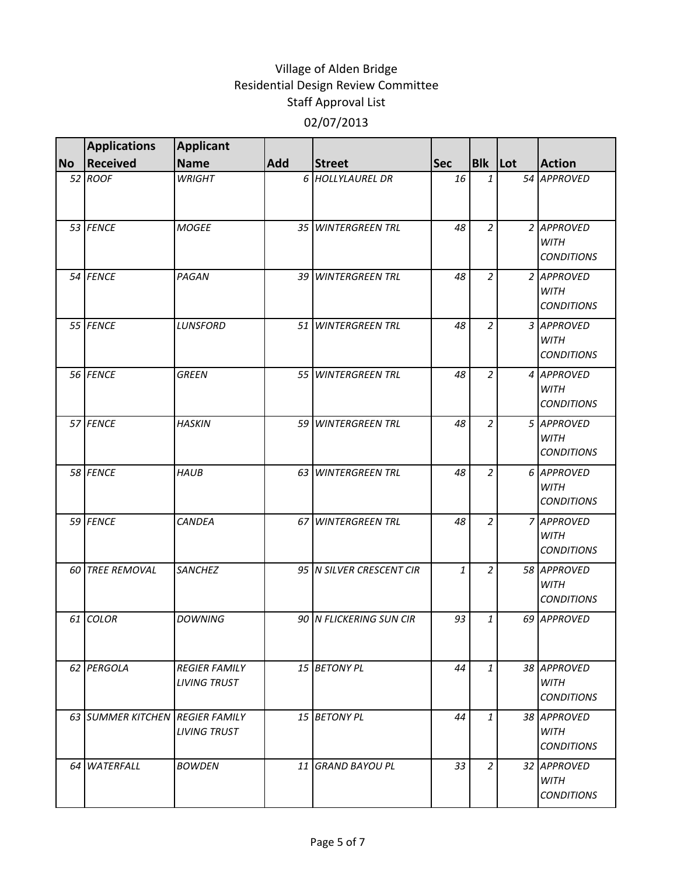|           | <b>Applications</b>             | <b>Applicant</b>                            |                 |                          |            |                |                                                 |
|-----------|---------------------------------|---------------------------------------------|-----------------|--------------------------|------------|----------------|-------------------------------------------------|
| <b>No</b> | <b>Received</b>                 | <b>Name</b>                                 | <b>Add</b>      | <b>Street</b>            | <b>Sec</b> | Blk Lot        | <b>Action</b>                                   |
|           | 52 ROOF                         | <b>WRIGHT</b>                               |                 | 6 HOLLYLAUREL DR         | 16         | 1              | 54 APPROVED                                     |
|           | 53 FENCE                        | <b>MOGEE</b>                                |                 | 35 WINTERGREEN TRL       | 48         | $\overline{2}$ | 2 APPROVED<br><b>WITH</b><br><b>CONDITIONS</b>  |
|           | 54 FENCE                        | PAGAN                                       |                 | 39 WINTERGREEN TRL       | 48         | $\overline{a}$ | 2 APPROVED<br><b>WITH</b><br><b>CONDITIONS</b>  |
|           | 55 FENCE                        | <b>LUNSFORD</b>                             |                 | 51 WINTERGREEN TRL       | 48         | $\overline{a}$ | 3 APPROVED<br><b>WITH</b><br><b>CONDITIONS</b>  |
|           | 56 FENCE                        | <b>GREEN</b>                                |                 | 55 WINTERGREEN TRL       | 48         | $\overline{a}$ | 4 APPROVED<br><b>WITH</b><br><b>CONDITIONS</b>  |
|           | 57 FENCE                        | <b>HASKIN</b>                               |                 | 59 WINTERGREEN TRL       | 48         | $\overline{2}$ | 5 APPROVED<br><b>WITH</b><br><b>CONDITIONS</b>  |
|           | 58 FENCE                        | <b>HAUB</b>                                 |                 | 63 WINTERGREEN TRL       | 48         | $\overline{2}$ | 6 APPROVED<br><b>WITH</b><br><b>CONDITIONS</b>  |
|           | 59 FENCE                        | <b>CANDEA</b>                               |                 | 67 WINTERGREEN TRL       | 48         | $\overline{a}$ | 7 APPROVED<br><b>WITH</b><br><b>CONDITIONS</b>  |
|           | 60 TREE REMOVAL                 | <b>SANCHEZ</b>                              |                 | 95 N SILVER CRESCENT CIR | 1          | $\overline{c}$ | 58 APPROVED<br><b>WITH</b><br><b>CONDITIONS</b> |
|           | 61 COLOR                        | <b>DOWNING</b>                              |                 | 90 N FLICKERING SUN CIR  | 93         | 1              | 69 APPROVED                                     |
|           | 62 PERGOLA                      | <b>REGIER FAMILY</b><br><b>LIVING TRUST</b> |                 | 15 BETONY PL             | 44         | $\mathbf{1}$   | 38 APPROVED<br><b>WITH</b><br><b>CONDITIONS</b> |
|           | 63 SUMMER KITCHEN REGIER FAMILY | <b>LIVING TRUST</b>                         |                 | 15 BETONY PL             | 44         | $\mathbf{1}$   | 38 APPROVED<br>WITH<br><b>CONDITIONS</b>        |
|           | 64 WATERFALL                    | <b>BOWDEN</b>                               | 11 <sup>1</sup> | <b>GRAND BAYOU PL</b>    | 33         | $\overline{2}$ | 32 APPROVED<br><b>WITH</b><br><b>CONDITIONS</b> |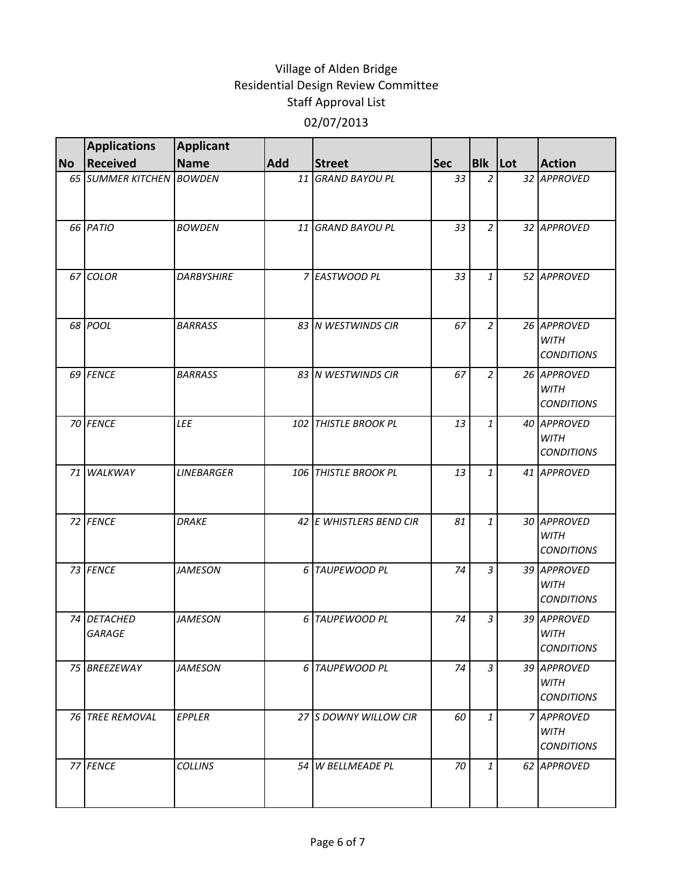|           | <b>Applications</b>      | <b>Applicant</b>  |            |                         |            |                |                                                 |
|-----------|--------------------------|-------------------|------------|-------------------------|------------|----------------|-------------------------------------------------|
| <b>No</b> | <b>Received</b>          | <b>Name</b>       | <b>Add</b> | <b>Street</b>           | <b>Sec</b> | Blk Lot        | <b>Action</b>                                   |
|           | 65 SUMMER KITCHEN BOWDEN |                   | 11         | <b>GRAND BAYOU PL</b>   | 33         | $\overline{a}$ | 32 APPROVED                                     |
|           | 66 PATIO                 | <b>BOWDEN</b>     | 11         | <b>GRAND BAYOU PL</b>   | 33         | $\overline{2}$ | 32 APPROVED                                     |
|           | 67 COLOR                 | <b>DARBYSHIRE</b> |            | 7 EASTWOOD PL           | 33         | $\mathbf{1}$   | 52 APPROVED                                     |
|           | 68 POOL                  | <b>BARRASS</b>    |            | 83 N WESTWINDS CIR      | 67         | $\overline{a}$ | 26 APPROVED<br><b>WITH</b><br><b>CONDITIONS</b> |
|           | 69 FENCE                 | <b>BARRASS</b>    |            | 83 N WESTWINDS CIR      | 67         | $\overline{a}$ | 26 APPROVED<br><b>WITH</b><br><b>CONDITIONS</b> |
|           | 70 FENCE                 | LEE               |            | 102 THISTLE BROOK PL    | 13         | $\mathbf{1}$   | 40 APPROVED<br><b>WITH</b><br><b>CONDITIONS</b> |
|           | 71 WALKWAY               | <b>LINEBARGER</b> |            | 106 THISTLE BROOK PL    | 13         | 1              | 41 APPROVED                                     |
|           | 72 FENCE                 | <b>DRAKE</b>      |            | 42 E WHISTLERS BEND CIR | 81         | $\mathbf{1}$   | 30 APPROVED<br><b>WITH</b><br><b>CONDITIONS</b> |
|           | 73 FENCE                 | <b>JAMESON</b>    |            | 6 TAUPEWOOD PL          | 74         | $\overline{3}$ | 39 APPROVED<br><b>WITH</b><br><b>CONDITIONS</b> |
|           | 74 DETACHED<br>GARAGE    | <b>JAMESON</b>    |            | 6 TAUPEWOOD PL          | 74         | 3              | 39 APPROVED<br><b>WITH</b><br><b>CONDITIONS</b> |
|           | 75 BREEZEWAY             | <b>JAMESON</b>    |            | 6 TAUPEWOOD PL          | 74         | 3              | 39 APPROVED<br><b>WITH</b><br><b>CONDITIONS</b> |
|           | 76 TREE REMOVAL          | EPPLER            |            | 27 S DOWNY WILLOW CIR   | 60         | $\mathbf{1}$   | 7 APPROVED<br><b>WITH</b><br><b>CONDITIONS</b>  |
|           | 77 FENCE                 | <b>COLLINS</b>    |            | 54 W BELLMEADE PL       | 70         | $\mathbf{1}$   | 62 APPROVED                                     |